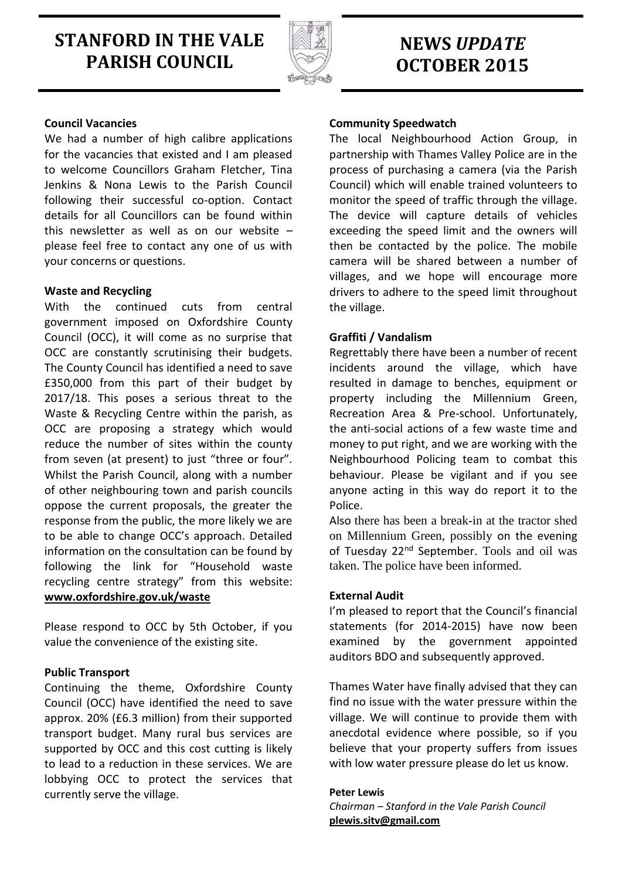# **STANFORD IN THE VALE PARISH COUNCIL**



## **NEWS** *UPDATE* **OCTOBER 2015**

## **Council Vacancies**

We had a number of high calibre applications for the vacancies that existed and I am pleased to welcome Councillors Graham Fletcher, Tina Jenkins & Nona Lewis to the Parish Council following their successful co-option. Contact details for all Councillors can be found within this newsletter as well as on our website – please feel free to contact any one of us with your concerns or questions.

### **Waste and Recycling**

With the continued cuts from central government imposed on Oxfordshire County Council (OCC), it will come as no surprise that OCC are constantly scrutinising their budgets. The County Council has identified a need to save £350,000 from this part of their budget by 2017/18. This poses a serious threat to the Waste & Recycling Centre within the parish, as OCC are proposing a strategy which would reduce the number of sites within the county from seven (at present) to just "three or four". Whilst the Parish Council, along with a number of other neighbouring town and parish councils oppose the current proposals, the greater the response from the public, the more likely we are to be able to change OCC's approach. Detailed information on the consultation can be found by following the link for "Household waste recycling centre strategy" from this website: **[www.oxfordshire.gov.uk/waste](http://www.oxfordshire.gov.uk/waste)**

Please respond to OCC by 5th October, if you value the convenience of the existing site.

## **Public Transport**

Continuing the theme, Oxfordshire County Council (OCC) have identified the need to save approx. 20% (£6.3 million) from their supported transport budget. Many rural bus services are supported by OCC and this cost cutting is likely to lead to a reduction in these services. We are lobbying OCC to protect the services that currently serve the village.

## **Community Speedwatch**

The local Neighbourhood Action Group, in partnership with Thames Valley Police are in the process of purchasing a camera (via the Parish Council) which will enable trained volunteers to monitor the speed of traffic through the village. The device will capture details of vehicles exceeding the speed limit and the owners will then be contacted by the police. The mobile camera will be shared between a number of villages, and we hope will encourage more drivers to adhere to the speed limit throughout the village.

## **Graffiti / Vandalism**

Regrettably there have been a number of recent incidents around the village, which have resulted in damage to benches, equipment or property including the Millennium Green, Recreation Area & Pre-school. Unfortunately, the anti-social actions of a few waste time and money to put right, and we are working with the Neighbourhood Policing team to combat this behaviour. Please be vigilant and if you see anyone acting in this way do report it to the Police.

Also there has been a break-in at the tractor shed on Millennium Green, possibly on the evening of Tuesday 22<sup>nd</sup> September. Tools and oil was taken. The police have been informed.

## **External Audit**

I'm pleased to report that the Council's financial statements (for 2014-2015) have now been examined by the government appointed auditors BDO and subsequently approved.

Thames Water have finally advised that they can find no issue with the water pressure within the village. We will continue to provide them with anecdotal evidence where possible, so if you believe that your property suffers from issues with low water pressure please do let us know.

#### **Peter Lewis**

*Chairman – Stanford in the Vale Parish Council* **[plewis.sitv@gmail.com](mailto:plewis.sitv@gmail.com)**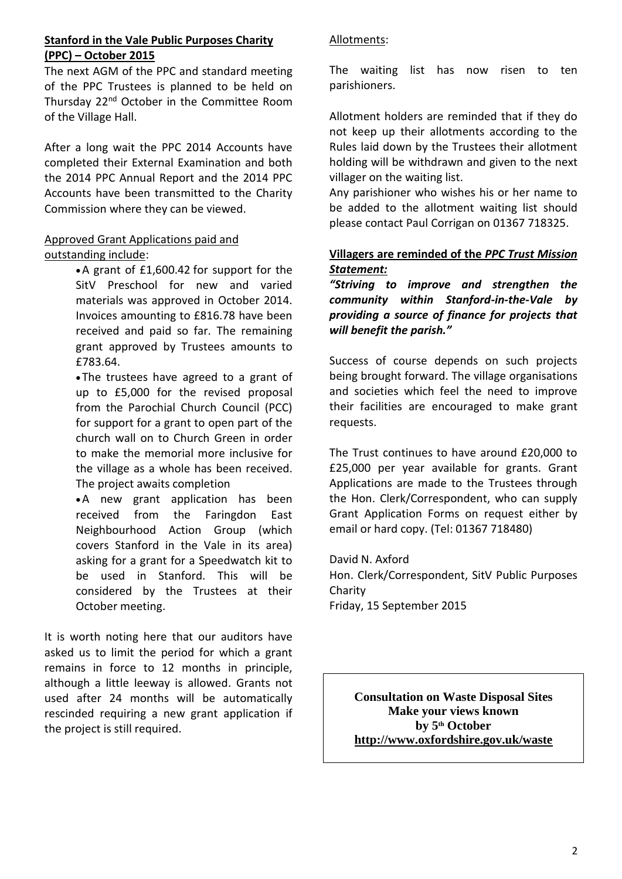## **Stanford in the Vale Public Purposes Charity (PPC) – October 2015**

The next AGM of the PPC and standard meeting of the PPC Trustees is planned to be held on Thursday 22nd October in the Committee Room of the Village Hall.

After a long wait the PPC 2014 Accounts have completed their External Examination and both the 2014 PPC Annual Report and the 2014 PPC Accounts have been transmitted to the Charity Commission where they can be viewed.

## Approved Grant Applications paid and outstanding include:

A grant of £1,600.42 for support for the SitV Preschool for new and varied materials was approved in October 2014. Invoices amounting to £816.78 have been received and paid so far. The remaining grant approved by Trustees amounts to £783.64.

The trustees have agreed to a grant of up to £5,000 for the revised proposal from the Parochial Church Council (PCC) for support for a grant to open part of the church wall on to Church Green in order to make the memorial more inclusive for the village as a whole has been received. The project awaits completion

A new grant application has been received from the Faringdon East Neighbourhood Action Group (which covers Stanford in the Vale in its area) asking for a grant for a Speedwatch kit to be used in Stanford. This will be considered by the Trustees at their October meeting.

It is worth noting here that our auditors have asked us to limit the period for which a grant remains in force to 12 months in principle, although a little leeway is allowed. Grants not used after 24 months will be automatically rescinded requiring a new grant application if the project is still required.

## Allotments:

The waiting list has now risen to ten parishioners.

Allotment holders are reminded that if they do not keep up their allotments according to the Rules laid down by the Trustees their allotment holding will be withdrawn and given to the next villager on the waiting list.

Any parishioner who wishes his or her name to be added to the allotment waiting list should please contact Paul Corrigan on 01367 718325.

## **Villagers are reminded of the** *PPC Trust Mission Statement:*

*"Striving to improve and strengthen the community within Stanford-in-the-Vale by providing a source of finance for projects that will benefit the parish."*

Success of course depends on such projects being brought forward. The village organisations and societies which feel the need to improve their facilities are encouraged to make grant requests.

The Trust continues to have around £20,000 to £25,000 per year available for grants. Grant Applications are made to the Trustees through the Hon. Clerk/Correspondent, who can supply Grant Application Forms on request either by email or hard copy. (Tel: 01367 718480)

David N. Axford Hon. Clerk/Correspondent, SitV Public Purposes Charity Friday, 15 September 2015

**Consultation on Waste Disposal Sites Make your views known by 5th October <http://www.oxfordshire.gov.uk/waste>**